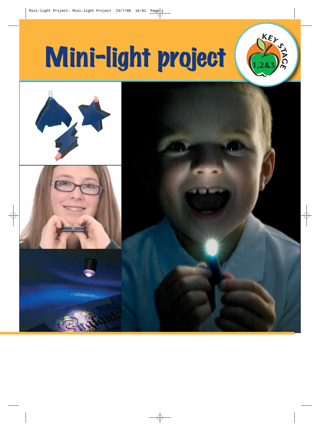# Mini-light project **1,2&3**



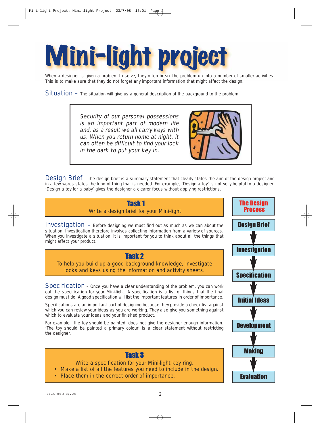When a designer is given a problem to solve, they often break the problem up into a num<br>This is to make sure that they do not forget any important information that might affect the When a designer is given a problem to solve, they often break the problem up into a number of smaller activities. This is to make sure that they do not forget any important information that might affect the design.

**Situation** – The situation will give us a general description of the background to the problem.

Security of our personal possessions is an important part of modern life and, as a result we all carry keys with us. When you return home at night, it can often be difficult to find your lock in the dark to put your key in.



**Design Brief** – The design brief is a summary statement that clearly states the aim of the design project and in a few words states the kind of thing that is needed. For example, 'Design a toy' is not very helpful to a designer. 'Design a toy for a baby' gives the designer a clearer focus without applying restrictions.

## Task 1 Write a design brief for your Mini-light.

**Investigation** - Before designing we must find out as much as we can about the situation. Investigation therefore involves collecting information from a variety of sources. When you investigate a situation, it is important for you to think about all the things that might affect your product.



To help you build up a good background knowledge, investigate locks and keys using the information and activity sheets.

**Specification** – Once you have a clear understanding of the problem, you can work out the specification for your Mini-light. A specification is a list of things that the final design must do. A good specification will list the important features in order of importance.

Specifications are an important part of designing because they provide a check list against which you can review your ideas as you are working. They also give you something against which to evaluate your ideas and your finished product.

For example, 'the toy should be painted' does not give the designer enough information. 'The toy should be painted a primary colour' is a clear statement without restricting the designer.



## Task 3

Write a specification for your Mini-light key ring.

- Make a list of all the features you need to include in the design.
- Place them in the correct order of importance.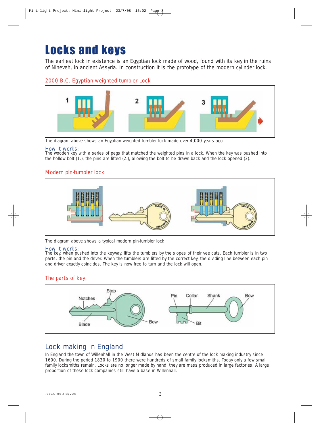# Locks and keys

The earliest lock in existence is an Egyptian lock made of wood, found with its key in the ruins of Nineveh, in ancient Assyria. In construction it is the prototype of the modern cylinder lock.

### 2000 B.C. Egyptian weighted tumbler Lock



The diagram above shows an Egyptian weighted tumbler lock made over 4,000 years ago.

#### How it works:

The wooden key with a series of pegs that matched the weighted pins in a lock. When the key was pushed into the hollow bolt (1.), the pins are lifted (2.), allowing the bolt to be drawn back and the lock opened (3).

### Modern pin-tumbler lock



The diagram above shows a typical modern pin-tumbler lock

#### How it works:

The key, when pushed into the keyway, lifts the tumblers by the slopes of their vee cuts. Each tumbler is in two parts, the pin and the driver. When the tumblers are lifted by the correct key, the dividing line between each pin and driver exactly coincides. The key is now free to turn and the lock will open.

## The parts of key



# Lock making in England

In England the town of Willenhall in the West Midlands has been the centre of the lock making industry since 1600. During the period 1830 to 1900 there were hundreds of small family locksmiths. Today only a few small family locksmiths remain. Locks are no longer made by hand, they are mass produced in large factories. A large proportion of these lock companies still have a base in Willenhall.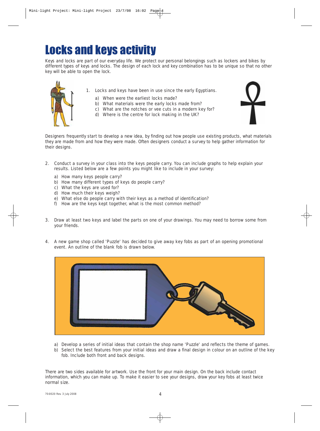# Locks and keys activity

Keys and locks are part of our everyday life. We protect our personal belongings such as lockers and bikes by different types of keys and locks. The design of each lock and key combination has to be unique so that no other key will be able to open the lock.



- 1. Locks and keys have been in use since the early Egyptians.
	- a) When were the earliest locks made?
	- b) What materials were the early locks made from?
	- c) What are the notches or vee cuts in a modern key for?
	- d) Where is the centre for lock making in the UK?



Designers frequently start to develop a new idea, by finding out how people use existing products, what materials they are made from and how they were made. Often designers conduct a survey to help gather information for their designs.

- 2. Conduct a survey in your class into the keys people carry. You can include graphs to help explain your results. Listed below are a few points you might like to include in your survey:
	- a) How many keys people carry?
	- b) How many different types of keys do people carry?
	- c) What the keys are used for?
	- d) How much their keys weigh?
	- e) What else do people carry with their keys as a method of identification?
	- f) How are the keys kept together, what is the most common method?
- 3. Draw at least two keys and label the parts on one of your drawings. You may need to borrow some from your friends.
- 4. A new game shop called 'Puzzle' has decided to give away key fobs as part of an opening promotional event. An outline of the blank fob is drawn below.



- a) Develop a series of initial ideas that contain the shop name 'Puzzle' and reflects the theme of games. b) Select the best features from your initial ideas and draw a final design in colour on an outline of the key
- fob. Include both front and back designs.

There are two sides available for artwork. Use the front for your main design. On the back include contact information, which you can make up. To make it easier to see your designs, draw your key fobs at least twice normal size.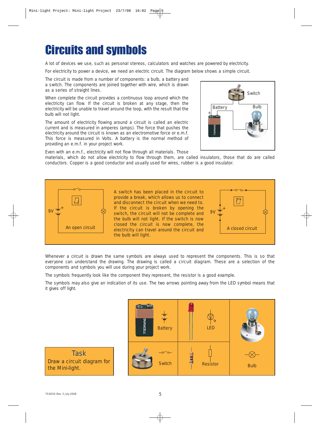# Circuits and symbols

A lot of devices we use, such as personal stereos, calculators and watches are powered by electricity.

For electricity to power a device, we need an electric circuit. The diagram below shows a simple circuit.

The circuit is made from a number of components: a bulb, a battery and a switch. The components are joined together with wire, which is drawn as a series of straight lines.

When complete the circuit provides a continuous loop around which the electricity can flow. If the circuit is broken at any stage, then the electricity will be unable to travel around the loop, with the result that the bulb will not light.

The amount of electricity flowing around a circuit is called an electric current and is measured in amperes (amps). The force that pushes the electricity around the circuit is known as an electromotive force or e.m.f. This force is measured in Volts. A battery is the normal method of providing an e.m.f. in your project work.



Even with an e.m.f., electricity will not flow through all materials. Those

materials, which do not allow electricity to flow through them, are called insulators, those that do are called conductors. Copper is a good conductor and usually used for wires, rubber is a good insulator.



Whenever a circuit is drawn the same symbols are always used to represent the components. This is so that everyone can understand the drawing. The drawing is called a circuit diagram. These are a selection of the components and symbols you will use during your project work.

The symbols frequently look like the component they represent, the resistor is a good example.

The symbols may also give an indication of its use. The two arrows pointing away from the LED symbol means that it gives off light.



**Task** Draw a circuit diagram for the Mini-light.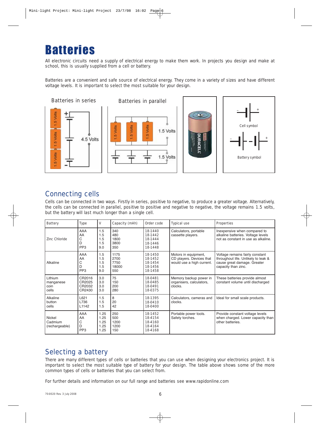# **Ratteries**

All electronic circuits need a supply of electrical energy to make them work. In projects you design and make at school, this is usually supplied from a cell or battery.

Batteries are a convenient and safe source of electrical energy. They come in a variety of sizes and have different voltage levels. It is important to select the most suitable for your design.



## Connecting cells

Cells can be connected in two ways. Firstly in series, positive to negative, to produce a greater voltage. Alternatively, the cells can be connected in parallel, positive to positive and negative to negative, the voltage remains 1.5 volts, but the battery will last much longer than a single cell.

| <b>Battery</b>                        | <b>Type</b>                            | v                                    | Capacity (mAh)                       | Order code                                          | <b>Typical use</b>                                                            | <b>Properties</b>                                                                                                            |
|---------------------------------------|----------------------------------------|--------------------------------------|--------------------------------------|-----------------------------------------------------|-------------------------------------------------------------------------------|------------------------------------------------------------------------------------------------------------------------------|
| Zinc Chloride                         | AAA<br>AA<br>C<br>D<br>PP <sub>3</sub> | 1.5<br>1.5<br>1.5<br>1.5<br>9.0      | 340<br>480<br>1800<br>3800<br>350    | 18-1440<br>18-1442<br>18-1444<br>18-1446<br>18-1448 | Calculators, portable<br>cassette players.                                    | Inexpensive when compared to<br>alkaline batteries. Voltage levels<br>not as constant in use as alkaline.                    |
| Alkaline                              | AAA<br>AA<br>C<br>D<br>PP <sub>3</sub> | 1.5<br>1.5<br>1.5<br>1.5<br>9.0      | 1175<br>2700<br>7750<br>18000<br>550 | 18-1450<br>18-1452<br>18-1454<br>18-1456<br>18-1458 | Motors in equipment,<br>CD players. Devices that<br>would use a high current. | Voltage remains fairly constant<br>throughout life. Unlikely to leak &<br>cause great damage. Greater<br>capacity than zinc. |
| Lithium<br>manganese<br>coin<br>cells | CR2016<br>CR2025<br>CR2032<br>CR2430   | 3.0<br>3.0<br>3.0<br>3.0             | 75<br>150<br>200<br>280              | 18-0481<br>18-0485<br>18-0491<br>18-0375            | Memory backup power in<br>organisers, calculators,<br>clocks.                 | These batteries provide almost<br>constant volume until discharged                                                           |
| Alkaline<br>button<br>cells           | L621<br>L736<br>L1142                  | 1.5<br>1.5<br>1.5                    | 8<br>20<br>42                        | 18-1395<br>18-0410<br>18-0400                       | Calculators, cameras and<br>clocks.                                           | Ideal for small scale products.                                                                                              |
| Nickel<br>Cadmium<br>(rechargeable)   | AAA<br>AA<br>С<br>D<br>PP <sub>3</sub> | 1.25<br>1.25<br>1.25<br>1.25<br>1.25 | 250<br>500<br>1200<br>1200<br>150    | 18-1452<br>18-4154<br>18-4160<br>18-4164<br>18-4168 | Portable power tools.<br>Safety torches.                                      | Provide constant voltage levels<br>when charged. Lower capacity than<br>other batteries.                                     |

# Selecting a battery

There are many different types of cells or batteries that you can use when designing your electronics project. It is important to select the most suitable type of battery for your design. The table above shows some of the more common types of cells or batteries that you can select from.

For further details and information on our full range and batteries see www.rapidonline.com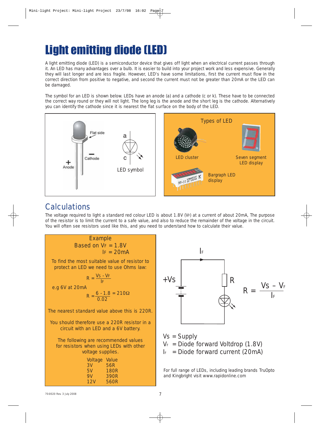# Light emitting diode (LED)

A light emitting diode (LED) is a semiconductor device that gives off light when an electrical current passes through it. An LED has many advantages over a bulb. It is easier to build into your project work and less expensive. Generally they will last longer and are less fragile. However, LED's have some limitations, first the current must flow in the correct direction from positive to negative, and second the current must not be greater than 20mA or the LED can be damaged.

The symbol for an LED is shown below. LEDs have an anode (a) and a cathode (c or k). These have to be connected the correct way round or they will not light. The long leg is the anode and the short leg is the cathode. Alternatively you can identify the cathode since it is nearest the flat surface on the body of the LED.



# **Calculations**

The voltage required to light a standard red colour LED is about 1.8V (VF) at a current of about 20mA, The purpose of the resistor is to limit the current to a safe value, and also to reduce the remainder of the voltage in the circuit. You will often see resistors used like this, and you need to understand how to calculate their value.





 $V_F$  = Diode forward Voltdrop (1.8V)

 $I_F$  = Diode forward current (20mA)

For full range of LEDs, including leading brands TruOpto and Kingbright visit www.rapidonline.com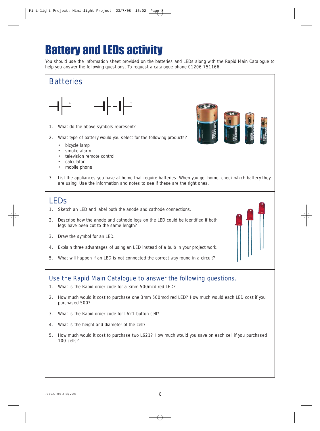# Battery and LEDs activity

You should use the information sheet provided on the batteries and LEDs along with the Rapid Main Catalogue to help you answer the following questions. To request a catalogue phone 01206 751166.



- 1. What do the above symbols represent?
- 2. What type of battery would you select for the following products?
	- bicycle lamp
	- smoke alarm
	- television remote control
	- calculator
	- mobile phone
- 3. List the appliances you have at home that require batteries. When you get home, check which battery they are using. Use the information and notes to see if these are the right ones.

# LEDs

- 1. Sketch an LED and label both the anode and cathode connections.
- 2. Describe how the anode and cathode legs on the LED could be identified if both legs have been cut to the same length?
- 3. Draw the symbol for an LED.
- 4. Explain three advantages of using an LED instead of a bulb in your project work.
- 5. What will happen if an LED is not connected the correct way round in a circuit?

## Use the Rapid Main Catalogue to answer the following questions.

- 1. What is the Rapid order code for a 3mm 500mcd red LED?
- 2. How much would it cost to purchase one 3mm 500mcd red LED? How much would each LED cost if you purchased 500?
- 3. What is the Rapid order code for L621 button cell?
- 4. What is the height and diameter of the cell?
- 5. How much would it cost to purchase two L621? How much would you save on each cell if you purchased 100 cells?

8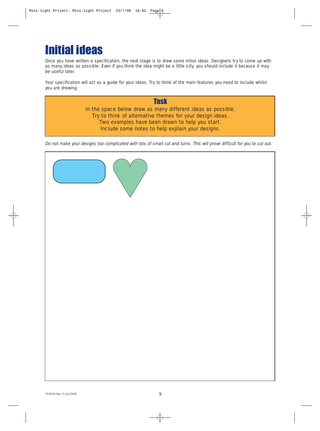# Initial ideas

Once you have written a specification, the next stage is to draw some initial ideas. Designers try to come up with as many ideas as possible. Even if you think the idea might be a little silly, you should include it because it may be useful later.

Your specification will act as a guide for your ideas. Try to think of the main features you need to include whilst you are drawing.

## **Task** In the space below draw as many different ideas as possible. Try to think of alternative themes for your design ideas. Two examples have been drawn to help you start. Include some notes to help explain your designs.

Do not make your designs too complicated with lots of small cut and turns. This will prove difficult for you to cut out.

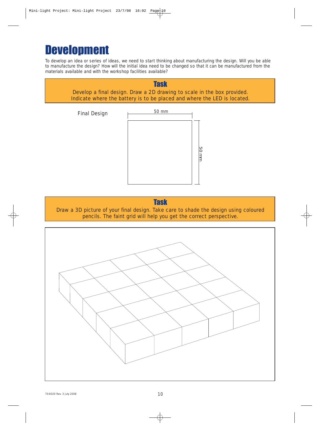# **Development**

To develop an idea or series of ideas, we need to start thinking about manufacturing the design. Will you be able to manufacture the design? How will the initial idea need to be changed so that it can be manufactured from the materials available and with the workshop facilities available?





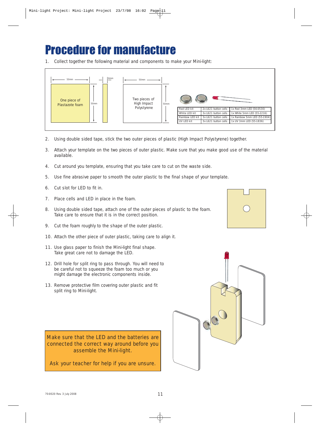# **Procedure for manufact**

1. Collect together the following material and components to make your Mini-light:



- 2. Using double sided tape, stick the two outer pieces of plastic (High Impact Polystyrene) together.
- 3. Attach your template on the two pieces of outer plastic. Make sure that you make good use of the material available.
- 4. Cut around you template, ensuring that you take care to cut on the waste side.
- 5. Use fine abrasive paper to smooth the outer plastic to the final shape of your template.
- 6. Cut slot for LED to fit in.
- 7. Place cells and LED in place in the foam.
- 8. Using double sided tape, attach one of the outer pieces of plastic to the foam. Take care to ensure that it is in the correct position.
- 9. Cut the foam roughly to the shape of the outer plastic.
- 10. Attach the other piece of outer plastic, taking care to align it.
- 11. Use glass paper to finish the Mini-light final shape. Take great care not to damage the LED.
- 12. Drill hole for split ring to pass through. You will need to be careful not to squeeze the foam too much or you might damage the electronic components inside.
- 13. Remove protective film covering outer plastic and fit split ring to Mini-light.

Make sure that the LED and the batteries are connected the correct way around before you assemble the Mini-light.

Ask your teacher for help if you are unsure.



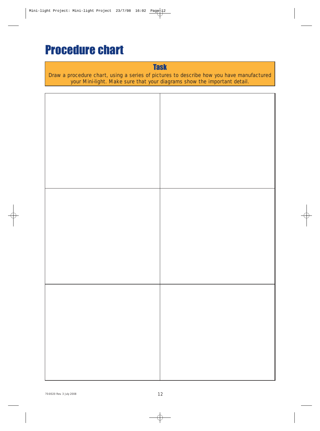# Procedure chart

# **Task**

Draw a procedure chart, using a series of pictures to describe how you have manufactured your Mini-light. Make sure that your diagrams show the important detail.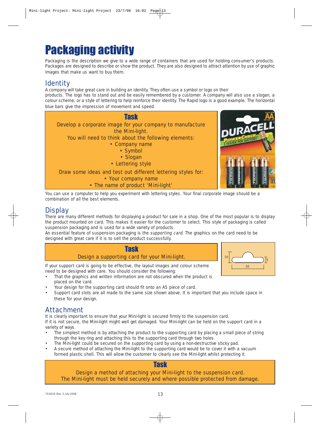# Packaging activity

Packaging is the description we give to a wide range of containers that are used for holding consumer's products. Packages are designed to describe or show the product. They are also designed to attract attention by use of graphic images that make us want to buy them.

## **Identity**

A company will take great care in building an identity. They often use a symbol or logo on their products. The logo has to stand out and be easily remembered by a customer. A company will also use a slogan, a colour scheme, or a style of lettering to help reinforce their identity. The Rapid logo is a good example. The horizontal blue bars give the impression of movement and speed.



You can use a computer to help you experiment with lettering styles. Your final corporate image should be a combination of all the best elements.

# **Display**

There are many different methods for displaying a product for sale in a shop. One of the most popular is to display the product mounted on card. This makes it easier for the customer to select. This style of packaging is called suspension packaging and is used for a wide variety of products.

An essential feature of suspension packaging is the *supporting card*. The graphics on the card need to be designed with great care if it is to sell the product successfully.

## Task Design a supporting card for your Mini-light.

If your support card is going to be effective, the layout images and colour scheme need to be designed with care. You should consider the following:

- That the graphics and written information are not obscured when the product is placed on the card.
- Your design for the supporting card should fit onto an A5 piece of card.
- Support card slots are all made to the same size shown above. It is important that you include space in these for your design.

## Attachment

It is clearly important to ensure that your Mini-light is secured firmly to the suspension card.

If it is not secure, the Mini-light might well get damaged. Your Mini-light can be held on the support card in a variety of ways.

- The simplest method is by attaching the product to the supporting card by placing a small piece of string through the key ring and attaching this to the supporting card through two holes.
- The Mini-light could be secured on the supporting card by using a non-destructive sticky pad.
- A secure method of attaching the Mini-light to the supporting card would be to cover it with a vacuum formed plastic shell. This will allow the customer to clearly see the Mini-light whilst protecting it.

## Design a method of attaching your Mini-light to the suspension card. The Mini-light must be held securely and where possible protected from damage.

Task

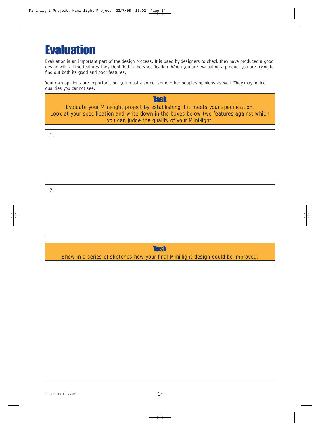# **Evaluation**

Evaluation is an important part of the design process. It is used by designers to check they have produced a good design with all the features they identified in the specification. When you are evaluating a product you are trying to find out both its good and poor features.

Your own opinions are important, but you must also get some other peoples opinions as well. They may notice qualities you cannot see.

**Task** Evaluate your Mini-light project by establishing if it meets your specification. Look at your specification and write down in the boxes below two features against which you can judge the quality of your Mini-light.

1.

2.

**Task** Show in a series of sketches how your final Mini-light design could be improved.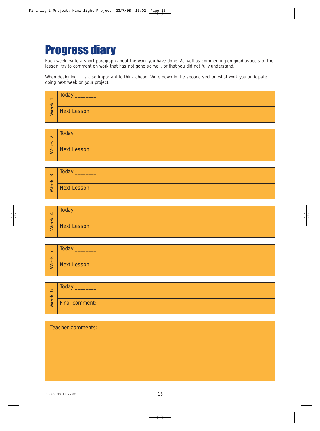# Progress diary

Each week, write a short paragraph about the work you have done. As well as commenting on good aspects of the lesson, try to comment on work that has not gone so well, or that you did not fully understand.

When designing, it is also important to think ahead. Write down in the second section what work you anticipate doing next week on your project.

| $\overline{\phantom{0}}$<br>eek | Today              |
|---------------------------------|--------------------|
|                                 | <b>Next Lesson</b> |

| $\mathbf{\Omega}$<br>$\overline{\mathbf{X}}$<br>eel | Today              |
|-----------------------------------------------------|--------------------|
|                                                     | <b>Next Lesson</b> |

| က   | <b>Today</b> |
|-----|--------------|
| eek | Next Lesson  |

| $\blacktriangleleft$<br>eek | Today              |
|-----------------------------|--------------------|
|                             | <b>Next Lesson</b> |

| 5   | Today              |
|-----|--------------------|
| eek | <b>Next Lesson</b> |

| $\circ$<br>$\overline{\phantom{1}}$ | <b>Today</b>          |
|-------------------------------------|-----------------------|
| <b>ee</b>                           | <b>Final comment:</b> |

#### Teacher comments: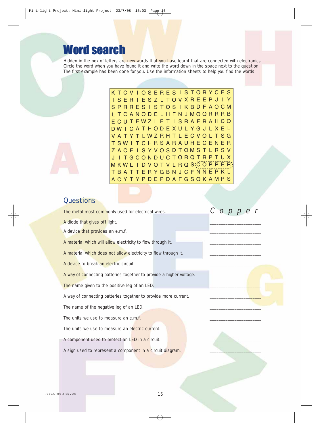# Word search

Hidden in the box of letters are new words that you have learnt that are connected with electronics. Circle the word when you have found it and write the word down in the space next to the question. The first example has been done for you. Use the information sheets to help you find the words:

> K T C V I O S E R E S I S T O R Y C E S I S E R I E S Z L T O V X R E E P J I Y S P R R E S I S T O S I K B D F A O C M L T C A N O D E L H F N J M O Q R R R B E C U T E W Z L E T I S R A F R A H C O D W I C A T H O D E X U L Y G J L X E L V A T Y T L W Z R H T L E C V O L T S G T S W I T C H R S A R A U H E C E N E R Z A C F I S Y V O S D T O M S T L R S V J I T G C O N D U C T O R Q T R P T U X M K W L IDVOTVLRQS(COPPER T B A T T E R Y G B N J C F N N E P K L A C Y T Y P D E P D A F G S Q K A M P S

## **Questions**

The metal most commonly used for electrical wires.  $C$  o p e f

A diode that gives off light.

A device that provides an e.m.f.

A material which will allow electricity to flow through it.

A material which does not allow electricity to flow through it.

A device to break an electric circuit.

A way of connecting batteries together to provide a higher voltage.

The name given to the positive leg of an LED.

A way of connecting batteries together to provide more current.

The name of the negative leg of an LED.

The units we use to measure an e.m.f.

The units we use to measure an electric current.

A component used to protect an LED in a circuit.

A sign used to represent a component in a circuit diagram.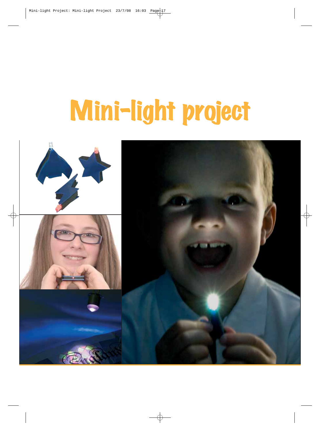# Mini-light project

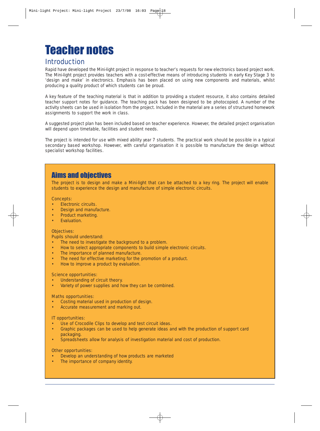# Teacher notes

## Introduction

Rapid have developed the Mini-light project in response to teacher's requests for new electronics based project work. The Mini-light project provides teachers with a cost-effective means of introducing students in early Key Stage 3 to 'design and make' in electronics. Emphasis has been placed on using new components and materials, whilst producing a quality product of which students can be proud.

A key feature of the teaching material is that in addition to providing a student resource, it also contains detailed teacher support notes for guidance. The teaching pack has been designed to be photocopied. A number of the activity sheets can be used in isolation from the project. Included in the material are a series of structured homework assignments to support the work in class.

A suggested project plan has been included based on teacher experience. However, the detailed project organisation will depend upon timetable, facilities and student needs.

The project is intended for use with mixed ability year 7 students. The practical work should be possible in a typical secondary based workshop. However, with careful organisation it is possible to manufacture the design without specialist workshop facilities.

## Aims and objectives

The project is to design and make a Mini-light that can be attached to a key ring. The project will enable students to experience the design and manufacture of simple electronic circuits.

#### Concepts:

- Electronic circuits.
- Design and manufacture.
- Product marketing.
- Evaluation.

#### Objectives:

Pupils should understand:

- The need to investigate the background to a problem.
- How to select appropriate components to build simple electronic circuits.
- The importance of planned manufacture.
- The need for effective marketing for the promotion of a product.
- How to improve a product by evaluation.

#### Science opportunities:

- Understanding of circuit theory.
- Variety of power supplies and how they can be combined.

#### Maths opportunities:

- Costing material used in production of design.
- Accurate measurement and marking out.

#### IT opportunities:

- Use of Crocodile Clips to develop and test circuit ideas.
- Graphic packages can be used to help generate ideas and with the production of support card packaging.
- Spreadsheets allow for analysis of investigation material and cost of production.

#### Other opportunities:

- Develop an understanding of how products are marketed
- The importance of company identity.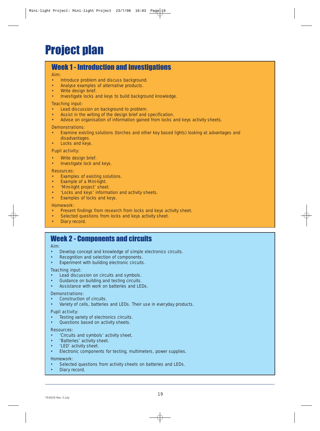## Week 1 - Introduction and investigations

#### Aim:

- Introduce problem and discuss background.
- Analyse examples of alternative products.
- Write design brief.
- Investigate locks and keys to build background knowledge.

#### Teaching input:

- Lead discussion on background to problem.
- Assist in the writing of the design brief and specification.
- Advise on organisation of information gained from locks and keys activity sheets.

#### Demonstrations:

- Examine existing solutions (torches and other key based lights) looking at advantages and disadvantages.
- Locks and keys.

#### Pupil activity:

- Write design brief.
- Investigate lock and keys.

#### Resources:

- Examples of existing solutions.
- Example of a Mini-light.
- 'Mini-light project' sheet.
- 'Locks and keys' information and activity sheets.
- Examples of locks and keys.

#### Homework:

- Present findings from research from locks and keys activity sheet.
- Selected questions from locks and keys activity sheet.
- Diary record.

## Week 2 - Components and circuits

#### Aim:

- Develop concept and knowledge of simple electronics circuits.
- Recognition and selection of components.
- Experiment with building electronic circuits.

#### Teaching input:

- Lead discussion on circuits and symbols.
- Guidance on building and testing circuits.
- Assistance with work on batteries and LEDs.

#### Demonstrations:

- Construction of circuits.
- Variety of cells, batteries and LEDs. Their use in everyday products.

#### Pupil activity:

- Testing variety of electronics circuits.
- Questions based on activity sheets.

#### Resources:

- 'Circuits and symbols' activity sheet.
- 'Batteries' activity sheet.
- 'LED' activity sheet.
- Electronic components for testing, multimeters, power supplies.

#### Homework:

- Selected questions from activity sheets on batteries and LEDs.
- Diary record.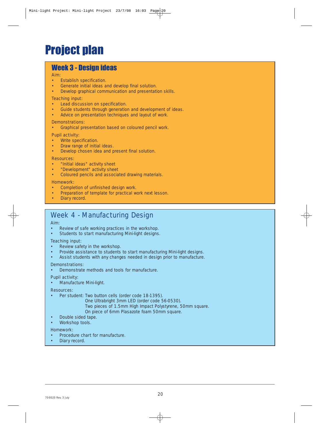# Project plan

## Week 3 - Design ideas

#### Aim:

- Establish specification.
- Generate initial ideas and develop final solution.
- Develop graphical communication and presentation skills.

#### Teaching input:

- Lead discussion on specification.
- Guide students through generation and development of ideas.
- Advice on presentation techniques and layout of work.

#### Demonstrations:

• Graphical presentation based on coloured pencil work.

#### Pupil activity:

- Write specification.
- Draw range of initial ideas.
- Develop chosen idea and present final solution.

#### Resources:

- "Initial ideas" activity sheet
- "Development" activity sheet
- Coloured pencils and associated drawing materials.

#### Homework:

- Completion of unfinished design work.
- Preparation of template for practical work next lesson.
- Diary record.

# Week 4 - Manufacturing Design

#### Aim:

- Review of safe working practices in the workshop.
- Students to start manufacturing Mini-light designs.

#### Teaching input:

- Review safety in the workshop.
- Provide assistance to students to start manufacturing Mini-light designs.
- Assist students with any changes needed in design prior to manufacture.

#### Demonstrations:

• Demonstrate methods and tools for manufacture.

#### Pupil activity:

• Manufacture Mini-light.

#### Resources:

- Per student: Two button cells (order code 18-1395).
	- One Ultrabright 3mm LED (order code 56-0530).
	- Two pieces of 1.5mm High Impact Polystyrene, 50mm square.
	- On piece of 6mm Plasazote foam 50mm square.
- Double sided tape.
- Workshop tools.

#### Homework:

- Procedure chart for manufacture.
- Diary record.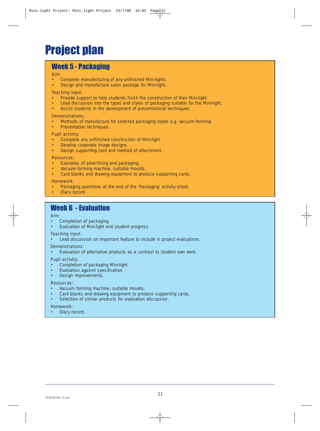# Project plan

## Week 5 - Packaging

#### Aim:

- Complete manufacturing of any unfinished Mini-lights.
- Design and manufacture sales package for Mini-light.

#### Teaching input:

- Provide support to help students finish the construction of their Mini-light.
- Lead discussion into the types and styles of packaging suitable for the Mini-light.
- Assist students in the development of presentational techniques.

#### Demonstrations:

- Methods of manufacture for selected packaging styles e.g. vacuum forming.
- Presentation techniques.

#### Pupil activity:

- Complete any unfinished construction of Mini-light.
- Develop corporate image designs.
- Design supporting card and method of attachment.

#### Resources:

- Examples of advertising and packaging.
- Vacuum forming machine, suitable moulds.
- Card blanks and drawing equipment to produce supporting cards.

#### Homework:

- Packaging questions at the end of the 'Packaging' activity sheet.
- Diary record

## Week 6 - Evaluation

#### Aim:

- Completion of packaging.
- Evaluation of Mini-light and student progress.

#### Teaching input:

Lead discussion on important feature to include in project evaluations.

#### Demonstrations:

Evaluation of alternative products as a contrast to student own work.

#### Pupil activity:

- Completion of packaging Mini-light.
- Evaluation against specification.
- Design improvements.

#### Resources:

- Vacuum forming machine, suitable moulds.
- Card blanks and drawing equipment to produce supporting cards.
- Selection of similar products for evaluation discussion.

#### Homework:

Diary record.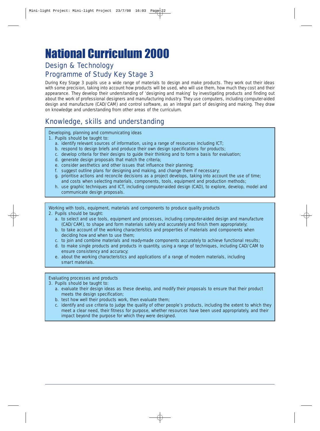# National Curriculum 2000

# Design & Technology Programme of Study Key Stage 3

During Key Stage 3 pupils use a wide range of materials to design and make products. They work out their ideas with some precision, taking into account how products will be used, who will use them, how much they cost and their appearance. They develop their understanding of 'designing and making' by investigating products and finding out about the work of professional designers and manufacturing industry. They use computers, including computer-aided design and manufacture (CAD/CAM) and control software, as an integral part of designing and making. They draw on knowledge and understanding from other areas of the curriculum.

# Knowledge, skills and understanding

Developing, planning and communicating ideas

- 1. Pupils should be taught to:
	- a. identify relevant sources of information, using a range of resources including ICT;
	- b. respond to design briefs and produce their own design specifications for products;
	- c. develop criteria for their designs to guide their thinking and to form a basis for evaluation;
	- d. generate design proposals that match the criteria;
	- e. consider aesthetics and other issues that influence their planning;
	- f. suggest outline plans for designing and making, and change them if necessary;
	- g. prioritise actions and reconcile decisions as a project develops, taking into account the use of time; and costs when selecting materials, components, tools, equipment and production methods;
	- h. use graphic techniques and ICT, including computer-aided design (CAD), to explore, develop, model and communicate design proposals.

Working with tools, equipment, materials and components to produce quality products 2. Pupils should be taught:

- a. to select and use tools, equipment and processes, including computer-aided design and manufacture (CAD/CAM), to shape and form materials safely and accurately and finish them appropriately;
- b. to take account of the working characteristics and properties of materials and components when deciding how and when to use them;
- c. to join and combine materials and ready-made components accurately to achieve functional results;
- d. to make single products and products in quantity, using a range of techniques, including CAD/CAM to ensure consistency and accuracy;
- e. about the working characteristics and applications of a range of modern materials, including smart materials.

#### Evaluating processes and products

- 3. Pupils should be taught to:
	- a. evaluate their design ideas as these develop, and modify their proposals to ensure that their product meets the design specification;
	- b. test how well their products work, then evaluate them;
	- c. identify and use criteria to judge the quality of other people's products, including the extent to which they meet a clear need, their fitness for purpose, whether resources have been used appropriately, and their impact beyond the purpose for which they were designed.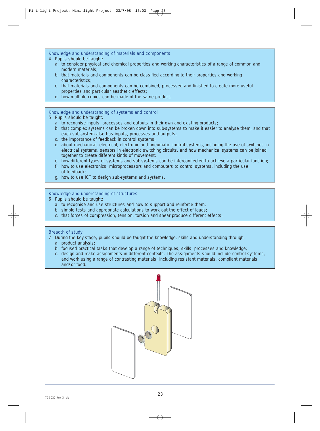#### Knowledge and understanding of materials and components

- 4. Pupils should be taught:
	- a. to consider physical and chemical properties and working characteristics of a range of common and modern materials;
	- b. that materials and components can be classified according to their properties and working characteristics;
	- c. that materials and components can be combined, processed and finished to create more useful properties and particular aesthetic effects;
	- d. how multiple copies can be made of the same product.

#### Knowledge and understanding of systems and control

#### 5. Pupils should be taught:

- a. to recognise inputs, processes and outputs in their own and existing products;
- b. that complex systems can be broken down into sub-systems to make it easier to analyse them, and that each sub-system also has inputs, processes and outputs;
- c. the importance of feedback in control systems;
- d. about mechanical, electrical, electronic and pneumatic control systems, including the use of switches in electrical systems, sensors in electronic switching circuits, and how mechanical systems can be joined together to create different kinds of movement;
- e. how different types of systems and sub-systems can be interconnected to achieve a particular function;
- f. how to use electronics, microprocessors and computers to control systems, including the use of feedback;
- g. how to use ICT to design sub-systems and systems.

#### Knowledge and understanding of structures

- 6. Pupils should be taught:
	- a. to recognise and use structures and how to support and reinforce them;
	- b. simple tests and appropriate calculations to work out the effect of loads;
	- c. that forces of compression, tension, torsion and shear produce different effects.

#### Breadth of study

- 7. During the key stage, pupils should be taught the knowledge, skills and understanding through:
	- a. product analysis;
	- b. focused practical tasks that develop a range of techniques, skills, processes and knowledge;
	- c. design and make assignments in different contexts. The assignments should include control systems, and work using a range of contrasting materials, including resistant materials, compliant materials and/or food.